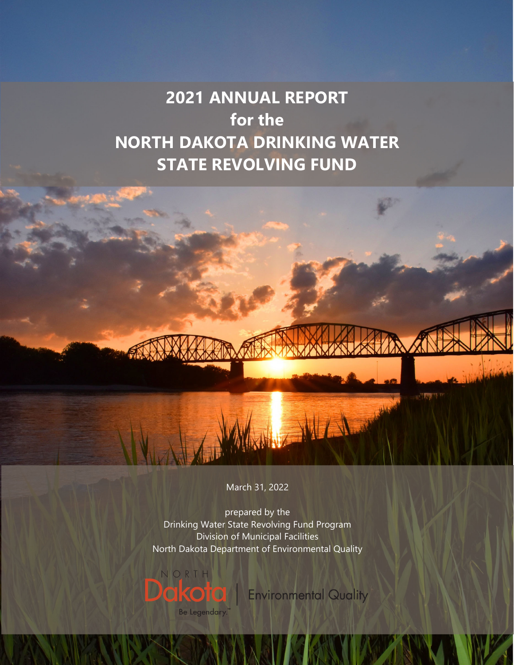# **2021 ANNUAL REPORT for the NORTH DAKOTA DRINKING WATER STATE REVOLVING FUND**

March 31, 2022

prepared by the Drinking Water State Revolving Fund Program Division of Municipal Facilities North Dakota Department of Environmental Quality



**Environmental Quality** 

**STATISTICS**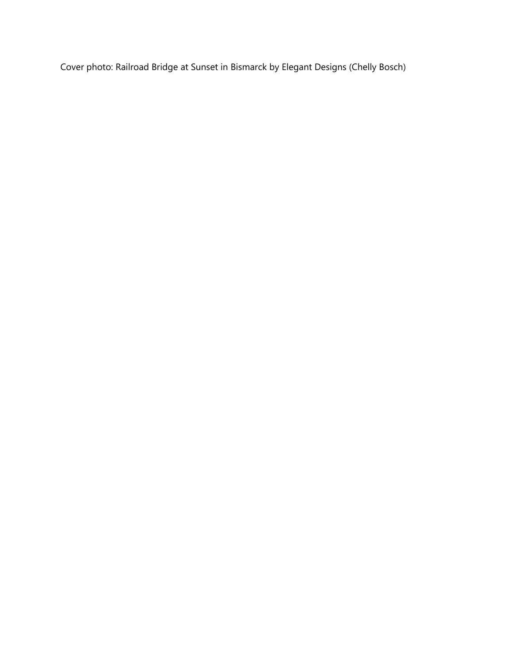Cover photo: Railroad Bridge at Sunset in Bismarck by Elegant Designs (Chelly Bosch)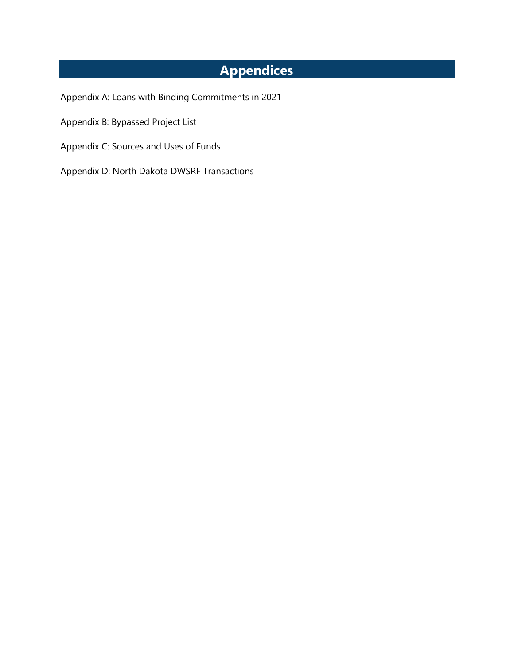## **Appendices**

- Appendix A: Loans with Binding Commitments in 2021
- Appendix B: Bypassed Project List
- Appendix C: Sources and Uses of Funds
- Appendix D: North Dakota DWSRF Transactions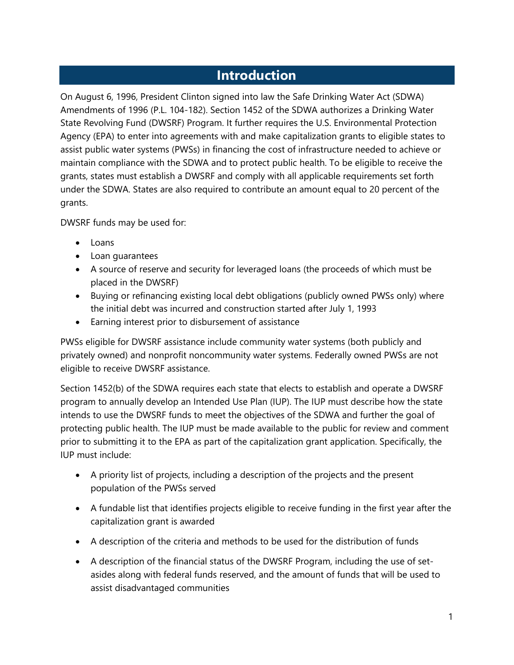### **Introduction**

On August 6, 1996, President Clinton signed into law the Safe Drinking Water Act (SDWA) Amendments of 1996 (P.L. 104-182). Section 1452 of the SDWA authorizes a Drinking Water State Revolving Fund (DWSRF) Program. It further requires the U.S. Environmental Protection Agency (EPA) to enter into agreements with and make capitalization grants to eligible states to assist public water systems (PWSs) in financing the cost of infrastructure needed to achieve or maintain compliance with the SDWA and to protect public health. To be eligible to receive the grants, states must establish a DWSRF and comply with all applicable requirements set forth under the SDWA. States are also required to contribute an amount equal to 20 percent of the grants.

DWSRF funds may be used for:

- Loans
- Loan guarantees
- A source of reserve and security for leveraged loans (the proceeds of which must be placed in the DWSRF)
- Buying or refinancing existing local debt obligations (publicly owned PWSs only) where the initial debt was incurred and construction started after July 1, 1993
- Earning interest prior to disbursement of assistance

PWSs eligible for DWSRF assistance include community water systems (both publicly and privately owned) and nonprofit noncommunity water systems. Federally owned PWSs are not eligible to receive DWSRF assistance.

Section 1452(b) of the SDWA requires each state that elects to establish and operate a DWSRF program to annually develop an Intended Use Plan (IUP). The IUP must describe how the state intends to use the DWSRF funds to meet the objectives of the SDWA and further the goal of protecting public health. The IUP must be made available to the public for review and comment prior to submitting it to the EPA as part of the capitalization grant application. Specifically, the IUP must include:

- A priority list of projects, including a description of the projects and the present population of the PWSs served
- A fundable list that identifies projects eligible to receive funding in the first year after the capitalization grant is awarded
- A description of the criteria and methods to be used for the distribution of funds
- A description of the financial status of the DWSRF Program, including the use of setasides along with federal funds reserved, and the amount of funds that will be used to assist disadvantaged communities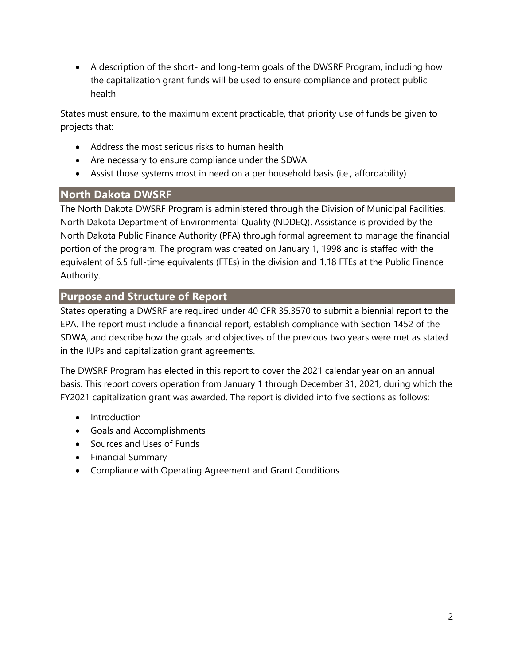A description of the short- and long-term goals of the DWSRF Program, including how the capitalization grant funds will be used to ensure compliance and protect public health

States must ensure, to the maximum extent practicable, that priority use of funds be given to projects that:

- Address the most serious risks to human health
- Are necessary to ensure compliance under the SDWA
- Assist those systems most in need on a per household basis (i.e., affordability)

#### **North Dakota DWSRF**

The North Dakota DWSRF Program is administered through the Division of Municipal Facilities, North Dakota Department of Environmental Quality (NDDEQ). Assistance is provided by the North Dakota Public Finance Authority (PFA) through formal agreement to manage the financial portion of the program. The program was created on January 1, 1998 and is staffed with the equivalent of 6.5 full-time equivalents (FTEs) in the division and 1.18 FTEs at the Public Finance Authority.

#### **Purpose and Structure of Report**

States operating a DWSRF are required under 40 CFR 35.3570 to submit a biennial report to the EPA. The report must include a financial report, establish compliance with Section 1452 of the SDWA, and describe how the goals and objectives of the previous two years were met as stated in the IUPs and capitalization grant agreements.

The DWSRF Program has elected in this report to cover the 2021 calendar year on an annual basis. This report covers operation from January 1 through December 31, 2021, during which the FY2021 capitalization grant was awarded. The report is divided into five sections as follows:

- Introduction
- Goals and Accomplishments
- Sources and Uses of Funds
- Financial Summary
- Compliance with Operating Agreement and Grant Conditions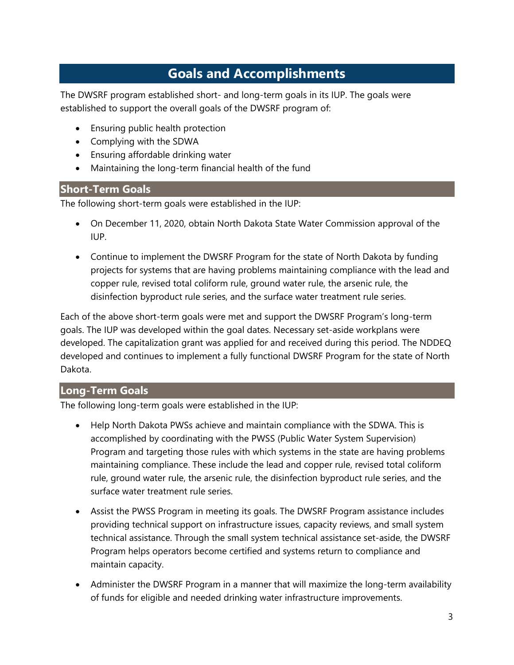## **Goals and Accomplishments**

The DWSRF program established short- and long-term goals in its IUP. The goals were established to support the overall goals of the DWSRF program of:

- Ensuring public health protection
- Complying with the SDWA
- Ensuring affordable drinking water
- Maintaining the long-term financial health of the fund

#### **Short-Term Goals**

The following short-term goals were established in the IUP:

- On December 11, 2020, obtain North Dakota State Water Commission approval of the IUP.
- Continue to implement the DWSRF Program for the state of North Dakota by funding projects for systems that are having problems maintaining compliance with the lead and copper rule, revised total coliform rule, ground water rule, the arsenic rule, the disinfection byproduct rule series, and the surface water treatment rule series.

Each of the above short-term goals were met and support the DWSRF Program's long-term goals. The IUP was developed within the goal dates. Necessary set-aside workplans were developed. The capitalization grant was applied for and received during this period. The NDDEQ developed and continues to implement a fully functional DWSRF Program for the state of North Dakota.

#### **Long-Term Goals**

The following long-term goals were established in the IUP:

- Help North Dakota PWSs achieve and maintain compliance with the SDWA. This is accomplished by coordinating with the PWSS (Public Water System Supervision) Program and targeting those rules with which systems in the state are having problems maintaining compliance. These include the lead and copper rule, revised total coliform rule, ground water rule, the arsenic rule, the disinfection byproduct rule series, and the surface water treatment rule series.
- Assist the PWSS Program in meeting its goals. The DWSRF Program assistance includes providing technical support on infrastructure issues, capacity reviews, and small system technical assistance. Through the small system technical assistance set-aside, the DWSRF Program helps operators become certified and systems return to compliance and maintain capacity.
- Administer the DWSRF Program in a manner that will maximize the long-term availability of funds for eligible and needed drinking water infrastructure improvements.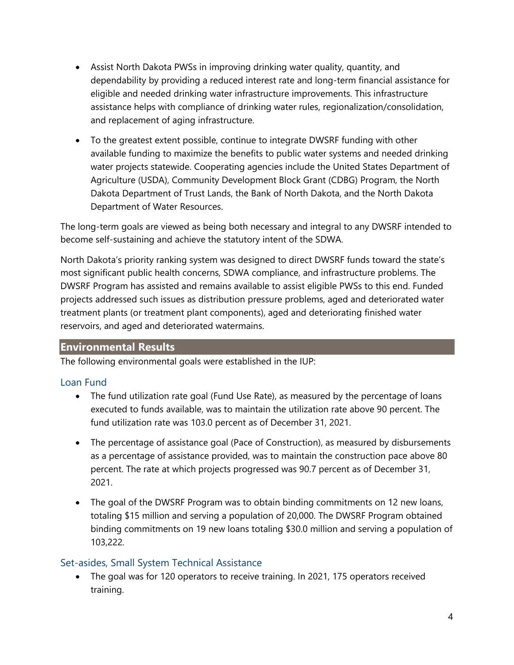- Assist North Dakota PWSs in improving drinking water quality, quantity, and dependability by providing a reduced interest rate and long-term financial assistance for eligible and needed drinking water infrastructure improvements. This infrastructure assistance helps with compliance of drinking water rules, regionalization/consolidation, and replacement of aging infrastructure.
- To the greatest extent possible, continue to integrate DWSRF funding with other available funding to maximize the benefits to public water systems and needed drinking water projects statewide. Cooperating agencies include the United States Department of Agriculture (USDA), Community Development Block Grant (CDBG) Program, the North Dakota Department of Trust Lands, the Bank of North Dakota, and the North Dakota Department of Water Resources.

The long-term goals are viewed as being both necessary and integral to any DWSRF intended to become self-sustaining and achieve the statutory intent of the SDWA.

North Dakota's priority ranking system was designed to direct DWSRF funds toward the state's most significant public health concerns, SDWA compliance, and infrastructure problems. The DWSRF Program has assisted and remains available to assist eligible PWSs to this end. Funded projects addressed such issues as distribution pressure problems, aged and deteriorated water treatment plants (or treatment plant components), aged and deteriorating finished water reservoirs, and aged and deteriorated watermains.

#### **Environmental Results**

The following environmental goals were established in the IUP:

#### Loan Fund

- The fund utilization rate goal (Fund Use Rate), as measured by the percentage of loans executed to funds available, was to maintain the utilization rate above 90 percent. The fund utilization rate was 103.0 percent as of December 31, 2021.
- The percentage of assistance goal (Pace of Construction), as measured by disbursements as a percentage of assistance provided, was to maintain the construction pace above 80 percent. The rate at which projects progressed was 90.7 percent as of December 31, 2021.
- The goal of the DWSRF Program was to obtain binding commitments on 12 new loans, totaling \$15 million and serving a population of 20,000. The DWSRF Program obtained binding commitments on 19 new loans totaling \$30.0 million and serving a population of 103,222.

#### Set-asides, Small System Technical Assistance

 The goal was for 120 operators to receive training. In 2021, 175 operators received training.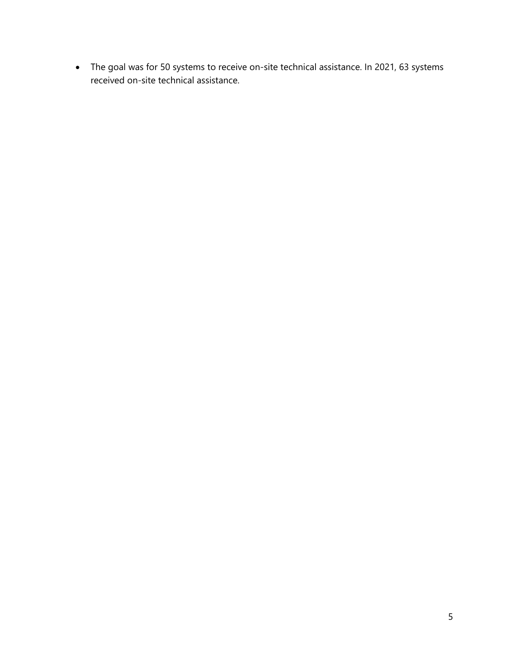The goal was for 50 systems to receive on-site technical assistance. In 2021, 63 systems received on-site technical assistance.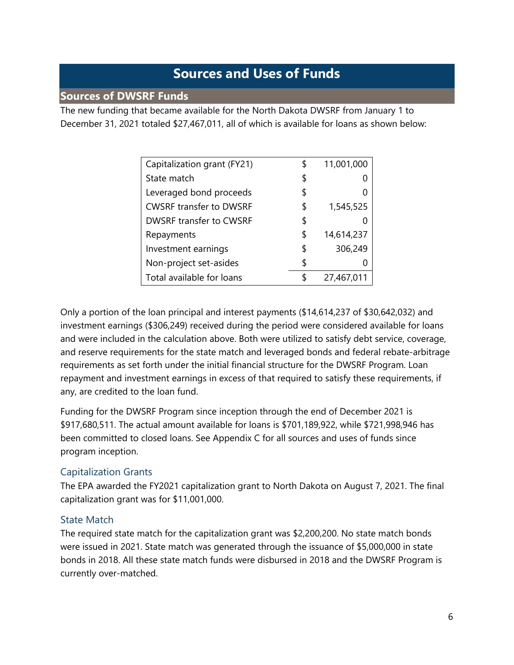### **Sources and Uses of Funds**

#### **Sources of DWSRF Funds**

The new funding that became available for the North Dakota DWSRF from January 1 to December 31, 2021 totaled \$27,467,011, all of which is available for loans as shown below:

| Capitalization grant (FY21)    | \$ | 11,001,000 |
|--------------------------------|----|------------|
| State match                    | \$ |            |
| Leveraged bond proceeds        | \$ |            |
| <b>CWSRF transfer to DWSRF</b> | \$ | 1,545,525  |
| <b>DWSRF transfer to CWSRF</b> | \$ |            |
| Repayments                     | \$ | 14,614,237 |
| Investment earnings            | \$ | 306,249    |
| Non-project set-asides         | \$ |            |
| Total available for loans      | S  | 27,467,011 |

Only a portion of the loan principal and interest payments (\$14,614,237 of \$30,642,032) and investment earnings (\$306,249) received during the period were considered available for loans and were included in the calculation above. Both were utilized to satisfy debt service, coverage, and reserve requirements for the state match and leveraged bonds and federal rebate-arbitrage requirements as set forth under the initial financial structure for the DWSRF Program. Loan repayment and investment earnings in excess of that required to satisfy these requirements, if any, are credited to the loan fund.

Funding for the DWSRF Program since inception through the end of December 2021 is \$917,680,511. The actual amount available for loans is \$701,189,922, while \$721,998,946 has been committed to closed loans. See Appendix C for all sources and uses of funds since program inception.

#### Capitalization Grants

The EPA awarded the FY2021 capitalization grant to North Dakota on August 7, 2021. The final capitalization grant was for \$11,001,000.

#### State Match

The required state match for the capitalization grant was \$2,200,200. No state match bonds were issued in 2021. State match was generated through the issuance of \$5,000,000 in state bonds in 2018. All these state match funds were disbursed in 2018 and the DWSRF Program is currently over-matched.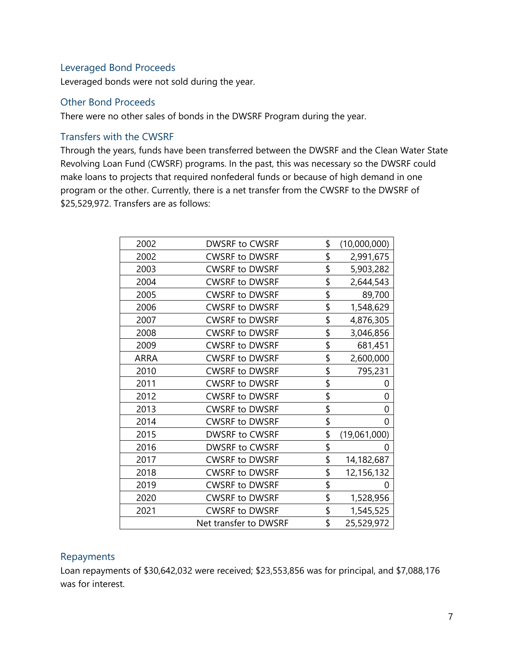#### Leveraged Bond Proceeds

Leveraged bonds were not sold during the year.

#### Other Bond Proceeds

There were no other sales of bonds in the DWSRF Program during the year.

#### Transfers with the CWSRF

Through the years, funds have been transferred between the DWSRF and the Clean Water State Revolving Loan Fund (CWSRF) programs. In the past, this was necessary so the DWSRF could make loans to projects that required nonfederal funds or because of high demand in one program or the other. Currently, there is a net transfer from the CWSRF to the DWSRF of \$25,529,972. Transfers are as follows:

| 2002        | <b>DWSRF to CWSRF</b> | \$<br>(10,000,000) |
|-------------|-----------------------|--------------------|
| 2002        | <b>CWSRF to DWSRF</b> | \$<br>2,991,675    |
| 2003        | <b>CWSRF to DWSRF</b> | \$<br>5,903,282    |
| 2004        | <b>CWSRF to DWSRF</b> | \$<br>2,644,543    |
| 2005        | <b>CWSRF to DWSRF</b> | \$<br>89,700       |
| 2006        | <b>CWSRF to DWSRF</b> | \$<br>1,548,629    |
| 2007        | <b>CWSRF to DWSRF</b> | \$<br>4,876,305    |
| 2008        | <b>CWSRF to DWSRF</b> | \$<br>3,046,856    |
| 2009        | <b>CWSRF to DWSRF</b> | \$<br>681,451      |
| <b>ARRA</b> | <b>CWSRF to DWSRF</b> | \$<br>2,600,000    |
| 2010        | <b>CWSRF to DWSRF</b> | \$<br>795,231      |
| 2011        | <b>CWSRF to DWSRF</b> | \$<br>0            |
| 2012        | <b>CWSRF to DWSRF</b> | \$<br>0            |
| 2013        | <b>CWSRF to DWSRF</b> | \$<br>0            |
| 2014        | <b>CWSRF to DWSRF</b> | \$<br>0            |
| 2015        | DWSRF to CWSRF        | \$<br>(19,061,000) |
| 2016        | <b>DWSRF to CWSRF</b> | \$<br>0            |
| 2017        | <b>CWSRF to DWSRF</b> | \$<br>14,182,687   |
| 2018        | <b>CWSRF to DWSRF</b> | \$<br>12,156,132   |
| 2019        | <b>CWSRF to DWSRF</b> | \$<br>$^{(1)}$     |
| 2020        | <b>CWSRF to DWSRF</b> | \$<br>1,528,956    |
| 2021        | <b>CWSRF to DWSRF</b> | \$<br>1,545,525    |
|             | Net transfer to DWSRF | \$<br>25,529,972   |
|             |                       |                    |

#### Repayments

Loan repayments of \$30,642,032 were received; \$23,553,856 was for principal, and \$7,088,176 was for interest.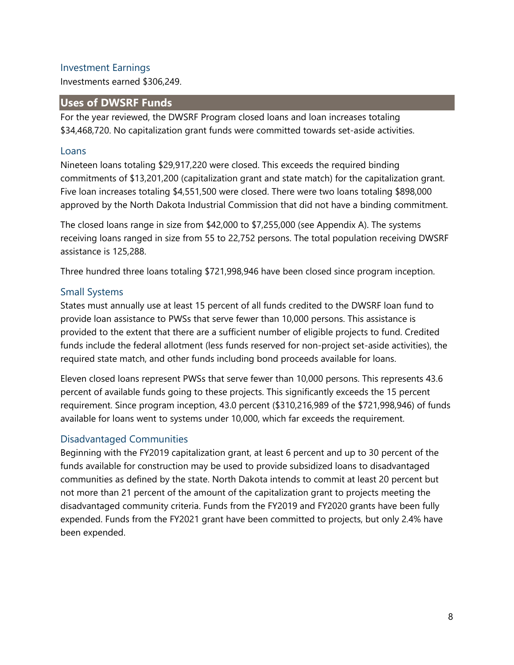#### Investment Earnings

Investments earned \$306,249.

#### **Uses of DWSRF Funds**

For the year reviewed, the DWSRF Program closed loans and loan increases totaling \$34,468,720. No capitalization grant funds were committed towards set-aside activities.

#### Loans

Nineteen loans totaling \$29,917,220 were closed. This exceeds the required binding commitments of \$13,201,200 (capitalization grant and state match) for the capitalization grant. Five loan increases totaling \$4,551,500 were closed. There were two loans totaling \$898,000 approved by the North Dakota Industrial Commission that did not have a binding commitment.

The closed loans range in size from \$42,000 to \$7,255,000 (see Appendix A). The systems receiving loans ranged in size from 55 to 22,752 persons. The total population receiving DWSRF assistance is 125,288.

Three hundred three loans totaling \$721,998,946 have been closed since program inception.

#### Small Systems

States must annually use at least 15 percent of all funds credited to the DWSRF loan fund to provide loan assistance to PWSs that serve fewer than 10,000 persons. This assistance is provided to the extent that there are a sufficient number of eligible projects to fund. Credited funds include the federal allotment (less funds reserved for non-project set-aside activities), the required state match, and other funds including bond proceeds available for loans.

Eleven closed loans represent PWSs that serve fewer than 10,000 persons. This represents 43.6 percent of available funds going to these projects. This significantly exceeds the 15 percent requirement. Since program inception, 43.0 percent (\$310,216,989 of the \$721,998,946) of funds available for loans went to systems under 10,000, which far exceeds the requirement.

#### Disadvantaged Communities

Beginning with the FY2019 capitalization grant, at least 6 percent and up to 30 percent of the funds available for construction may be used to provide subsidized loans to disadvantaged communities as defined by the state. North Dakota intends to commit at least 20 percent but not more than 21 percent of the amount of the capitalization grant to projects meeting the disadvantaged community criteria. Funds from the FY2019 and FY2020 grants have been fully expended. Funds from the FY2021 grant have been committed to projects, but only 2.4% have been expended.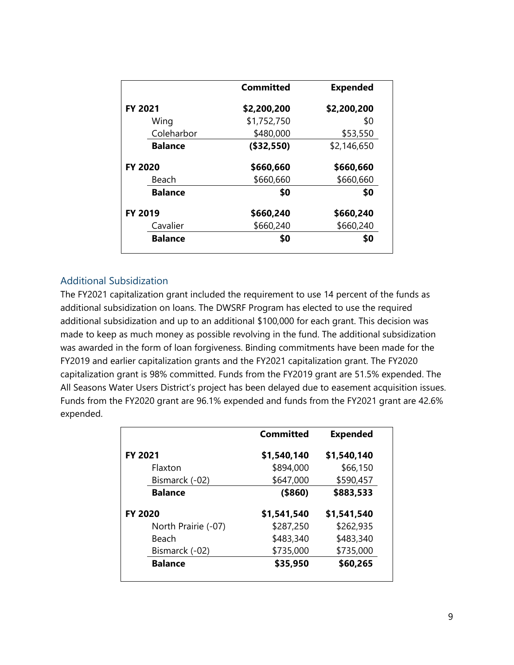|                | <b>Committed</b> | <b>Expended</b> |
|----------------|------------------|-----------------|
| FY 2021        | \$2,200,200      | \$2,200,200     |
| Wing           | \$1,752,750      | \$0             |
| Coleharbor     | \$480,000        | \$53,550        |
| <b>Balance</b> | (\$32,550)       | \$2,146,650     |
| <b>FY 2020</b> | \$660,660        | \$660,660       |
| Beach          | \$660,660        | \$660,660       |
| <b>Balance</b> | \$0              | \$0             |
| FY 2019        | \$660,240        | \$660,240       |
| Cavalier       | \$660,240        | \$660,240       |
| <b>Balance</b> | \$0              | \$0             |

#### Additional Subsidization

The FY2021 capitalization grant included the requirement to use 14 percent of the funds as additional subsidization on loans. The DWSRF Program has elected to use the required additional subsidization and up to an additional \$100,000 for each grant. This decision was made to keep as much money as possible revolving in the fund. The additional subsidization was awarded in the form of loan forgiveness. Binding commitments have been made for the FY2019 and earlier capitalization grants and the FY2021 capitalization grant. The FY2020 capitalization grant is 98% committed. Funds from the FY2019 grant are 51.5% expended. The All Seasons Water Users District's project has been delayed due to easement acquisition issues. Funds from the FY2020 grant are 96.1% expended and funds from the FY2021 grant are 42.6% expended.

|                     | <b>Committed</b> | <b>Expended</b> |
|---------------------|------------------|-----------------|
| <b>FY 2021</b>      | \$1,540,140      | \$1,540,140     |
| Flaxton             | \$894,000        | \$66,150        |
| Bismarck (-02)      | \$647,000        | \$590,457       |
| <b>Balance</b>      | ( \$860)         | \$883,533       |
| <b>FY 2020</b>      | \$1,541,540      | \$1,541,540     |
| North Prairie (-07) | \$287,250        | \$262,935       |
| Beach               | \$483,340        | \$483,340       |
| Bismarck (-02)      | \$735,000        | \$735,000       |
| <b>Balance</b>      | \$35,950         | \$60,265        |
|                     |                  |                 |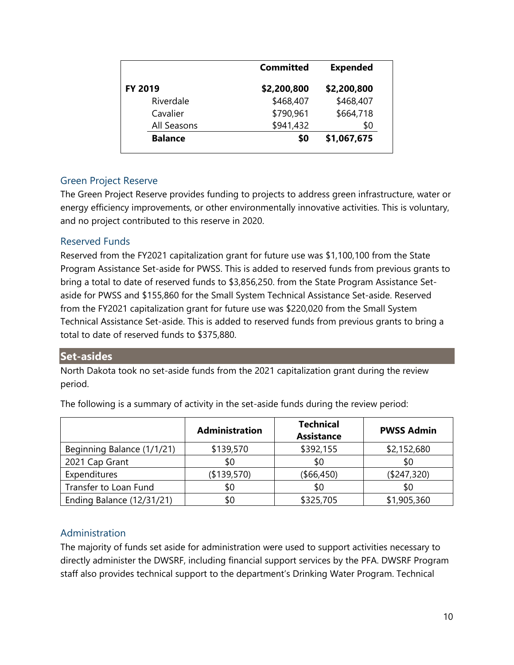|                | <b>Committed</b> | <b>Expended</b> |
|----------------|------------------|-----------------|
| <b>FY 2019</b> | \$2,200,800      | \$2,200,800     |
| Riverdale      | \$468,407        | \$468,407       |
| Cavalier       | \$790,961        | \$664,718       |
| All Seasons    | \$941,432        | \$0             |
| <b>Balance</b> | \$0              | \$1,067,675     |
|                |                  |                 |

#### Green Project Reserve

The Green Project Reserve provides funding to projects to address green infrastructure, water or energy efficiency improvements, or other environmentally innovative activities. This is voluntary, and no project contributed to this reserve in 2020.

#### Reserved Funds

Reserved from the FY2021 capitalization grant for future use was \$1,100,100 from the State Program Assistance Set-aside for PWSS. This is added to reserved funds from previous grants to bring a total to date of reserved funds to \$3,856,250. from the State Program Assistance Setaside for PWSS and \$155,860 for the Small System Technical Assistance Set-aside. Reserved from the FY2021 capitalization grant for future use was \$220,020 from the Small System Technical Assistance Set-aside. This is added to reserved funds from previous grants to bring a total to date of reserved funds to \$375,880.

#### **Set-asides**

North Dakota took no set-aside funds from the 2021 capitalization grant during the review period.

|                            | <b>Administration</b> | <b>Technical</b><br><b>Assistance</b> | <b>PWSS Admin</b> |
|----------------------------|-----------------------|---------------------------------------|-------------------|
| Beginning Balance (1/1/21) | \$139,570             | \$392,155                             | \$2,152,680       |
| 2021 Cap Grant             | \$0                   | \$0                                   | \$0               |
| Expenditures               | (\$139,570)           | ( \$66,450)                           | (\$247,320)       |
| Transfer to Loan Fund      | \$0                   | \$0                                   | \$0               |
| Ending Balance (12/31/21)  | \$0                   | \$325,705                             | \$1,905,360       |

The following is a summary of activity in the set-aside funds during the review period:

#### Administration

The majority of funds set aside for administration were used to support activities necessary to directly administer the DWSRF, including financial support services by the PFA. DWSRF Program staff also provides technical support to the department's Drinking Water Program. Technical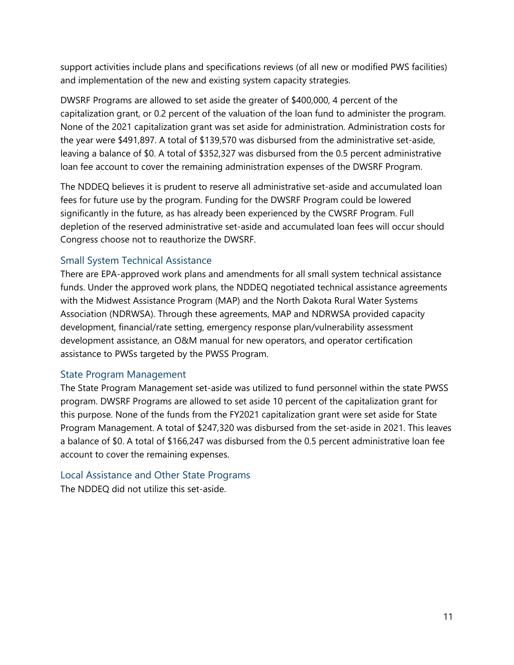support activities include plans and specifications reviews (of all new or modified PWS facilities) and implementation of the new and existing system capacity strategies.

DWSRF Programs are allowed to set aside the greater of \$400,000, 4 percent of the capitalization grant, or 0.2 percent of the valuation of the loan fund to administer the program. None of the 2021 capitalization grant was set aside for administration. Administration costs for the year were \$491,897. A total of \$139,570 was disbursed from the administrative set-aside, leaving a balance of \$0. A total of \$352,327 was disbursed from the 0.5 percent administrative loan fee account to cover the remaining administration expenses of the DWSRF Program.

The NDDEQ believes it is prudent to reserve all administrative set-aside and accumulated loan fees for future use by the program. Funding for the DWSRF Program could be lowered significantly in the future, as has already been experienced by the CWSRF Program. Full depletion of the reserved administrative set-aside and accumulated loan fees will occur should Congress choose not to reauthorize the DWSRF.

#### Small System Technical Assistance

There are EPA-approved work plans and amendments for all small system technical assistance funds. Under the approved work plans, the NDDEQ negotiated technical assistance agreements with the Midwest Assistance Program (MAP) and the North Dakota Rural Water Systems Association (NDRWSA). Through these agreements, MAP and NDRWSA provided capacity development, financial/rate setting, emergency response plan/vulnerability assessment development assistance, an O&M manual for new operators, and operator certification assistance to PWSs targeted by the PWSS Program.

#### State Program Management

The State Program Management set-aside was utilized to fund personnel within the state PWSS program. DWSRF Programs are allowed to set aside 10 percent of the capitalization grant for this purpose. None of the funds from the FY2021 capitalization grant were set aside for State Program Management. A total of \$247,320 was disbursed from the set-aside in 2021. This leaves a balance of \$0. A total of \$166,247 was disbursed from the 0.5 percent administrative loan fee account to cover the remaining expenses.

#### Local Assistance and Other State Programs

The NDDEQ did not utilize this set-aside.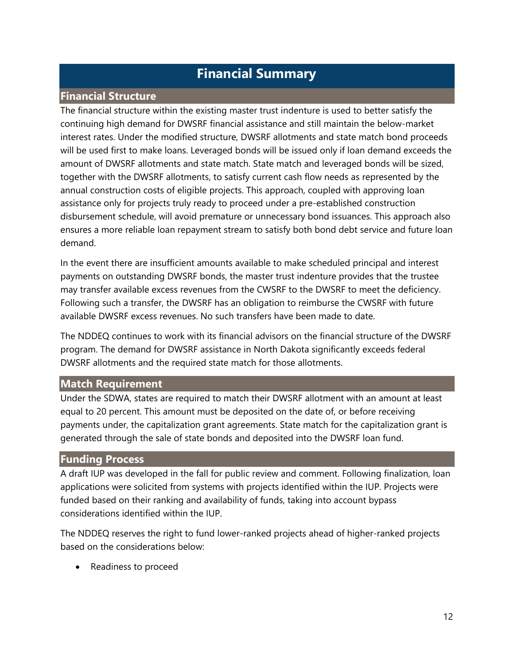### **Financial Summary**

#### **Financial Structure**

The financial structure within the existing master trust indenture is used to better satisfy the continuing high demand for DWSRF financial assistance and still maintain the below-market interest rates. Under the modified structure, DWSRF allotments and state match bond proceeds will be used first to make loans. Leveraged bonds will be issued only if loan demand exceeds the amount of DWSRF allotments and state match. State match and leveraged bonds will be sized, together with the DWSRF allotments, to satisfy current cash flow needs as represented by the annual construction costs of eligible projects. This approach, coupled with approving loan assistance only for projects truly ready to proceed under a pre-established construction disbursement schedule, will avoid premature or unnecessary bond issuances. This approach also ensures a more reliable loan repayment stream to satisfy both bond debt service and future loan demand.

In the event there are insufficient amounts available to make scheduled principal and interest payments on outstanding DWSRF bonds, the master trust indenture provides that the trustee may transfer available excess revenues from the CWSRF to the DWSRF to meet the deficiency. Following such a transfer, the DWSRF has an obligation to reimburse the CWSRF with future available DWSRF excess revenues. No such transfers have been made to date.

The NDDEQ continues to work with its financial advisors on the financial structure of the DWSRF program. The demand for DWSRF assistance in North Dakota significantly exceeds federal DWSRF allotments and the required state match for those allotments.

#### **Match Requirement**

Under the SDWA, states are required to match their DWSRF allotment with an amount at least equal to 20 percent. This amount must be deposited on the date of, or before receiving payments under, the capitalization grant agreements. State match for the capitalization grant is generated through the sale of state bonds and deposited into the DWSRF loan fund.

#### **Funding Process**

A draft IUP was developed in the fall for public review and comment. Following finalization, loan applications were solicited from systems with projects identified within the IUP. Projects were funded based on their ranking and availability of funds, taking into account bypass considerations identified within the IUP.

The NDDEQ reserves the right to fund lower-ranked projects ahead of higher-ranked projects based on the considerations below:

• Readiness to proceed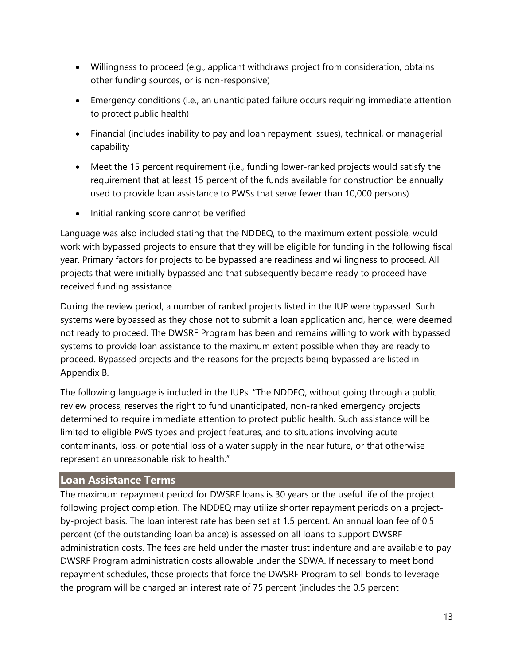- Willingness to proceed (e.g., applicant withdraws project from consideration, obtains other funding sources, or is non-responsive)
- Emergency conditions (i.e., an unanticipated failure occurs requiring immediate attention to protect public health)
- Financial (includes inability to pay and loan repayment issues), technical, or managerial capability
- Meet the 15 percent requirement (i.e., funding lower-ranked projects would satisfy the requirement that at least 15 percent of the funds available for construction be annually used to provide loan assistance to PWSs that serve fewer than 10,000 persons)
- Initial ranking score cannot be verified

Language was also included stating that the NDDEQ, to the maximum extent possible, would work with bypassed projects to ensure that they will be eligible for funding in the following fiscal year. Primary factors for projects to be bypassed are readiness and willingness to proceed. All projects that were initially bypassed and that subsequently became ready to proceed have received funding assistance.

During the review period, a number of ranked projects listed in the IUP were bypassed. Such systems were bypassed as they chose not to submit a loan application and, hence, were deemed not ready to proceed. The DWSRF Program has been and remains willing to work with bypassed systems to provide loan assistance to the maximum extent possible when they are ready to proceed. Bypassed projects and the reasons for the projects being bypassed are listed in Appendix B.

The following language is included in the IUPs: "The NDDEQ, without going through a public review process, reserves the right to fund unanticipated, non-ranked emergency projects determined to require immediate attention to protect public health. Such assistance will be limited to eligible PWS types and project features, and to situations involving acute contaminants, loss, or potential loss of a water supply in the near future, or that otherwise represent an unreasonable risk to health."

#### **Loan Assistance Terms**

The maximum repayment period for DWSRF loans is 30 years or the useful life of the project following project completion. The NDDEQ may utilize shorter repayment periods on a projectby-project basis. The loan interest rate has been set at 1.5 percent. An annual loan fee of 0.5 percent (of the outstanding loan balance) is assessed on all loans to support DWSRF administration costs. The fees are held under the master trust indenture and are available to pay DWSRF Program administration costs allowable under the SDWA. If necessary to meet bond repayment schedules, those projects that force the DWSRF Program to sell bonds to leverage the program will be charged an interest rate of 75 percent (includes the 0.5 percent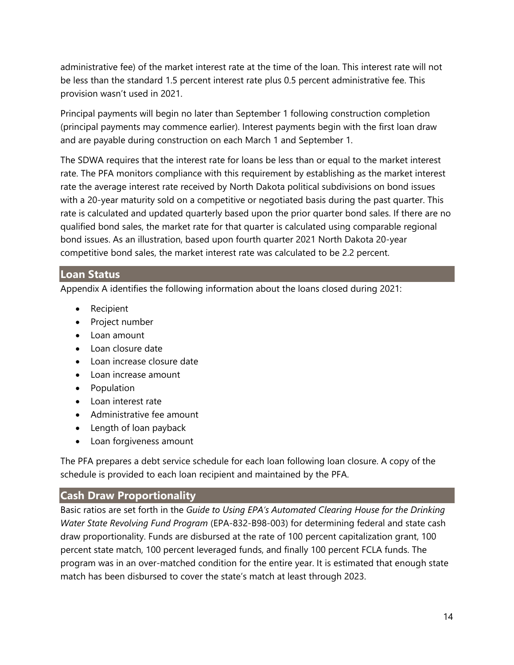administrative fee) of the market interest rate at the time of the loan. This interest rate will not be less than the standard 1.5 percent interest rate plus 0.5 percent administrative fee. This provision wasn't used in 2021.

Principal payments will begin no later than September 1 following construction completion (principal payments may commence earlier). Interest payments begin with the first loan draw and are payable during construction on each March 1 and September 1.

The SDWA requires that the interest rate for loans be less than or equal to the market interest rate. The PFA monitors compliance with this requirement by establishing as the market interest rate the average interest rate received by North Dakota political subdivisions on bond issues with a 20-year maturity sold on a competitive or negotiated basis during the past quarter. This rate is calculated and updated quarterly based upon the prior quarter bond sales. If there are no qualified bond sales, the market rate for that quarter is calculated using comparable regional bond issues. As an illustration, based upon fourth quarter 2021 North Dakota 20-year competitive bond sales, the market interest rate was calculated to be 2.2 percent.

#### **Loan Status**

Appendix A identifies the following information about the loans closed during 2021:

- Recipient
- Project number
- $\bullet$  Loan amount
- $\bullet$  Loan closure date
- Loan increase closure date
- Loan increase amount
- Population
- Loan interest rate
- Administrative fee amount
- Length of loan payback
- Loan forgiveness amount

The PFA prepares a debt service schedule for each loan following loan closure. A copy of the schedule is provided to each loan recipient and maintained by the PFA.

#### **Cash Draw Proportionality**

Basic ratios are set forth in the *Guide to Using EPA's Automated Clearing House for the Drinking Water State Revolving Fund Program* (EPA-832-B98-003) for determining federal and state cash draw proportionality. Funds are disbursed at the rate of 100 percent capitalization grant, 100 percent state match, 100 percent leveraged funds, and finally 100 percent FCLA funds. The program was in an over-matched condition for the entire year. It is estimated that enough state match has been disbursed to cover the state's match at least through 2023.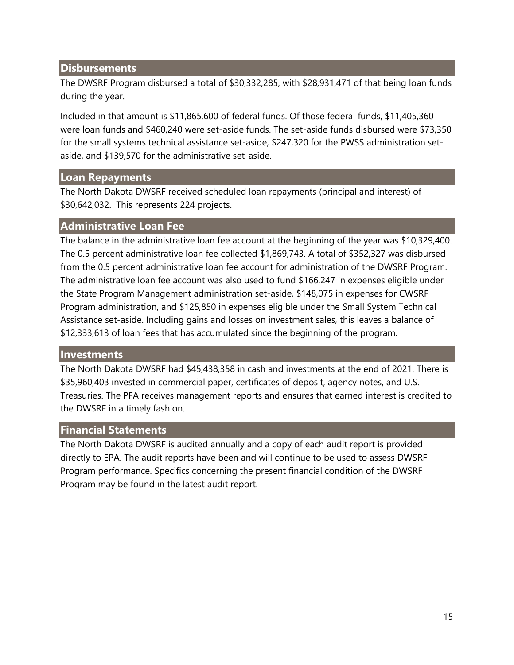#### **Disbursements**

The DWSRF Program disbursed a total of \$30,332,285, with \$28,931,471 of that being loan funds during the year.

Included in that amount is \$11,865,600 of federal funds. Of those federal funds, \$11,405,360 were loan funds and \$460,240 were set-aside funds. The set-aside funds disbursed were \$73,350 for the small systems technical assistance set-aside, \$247,320 for the PWSS administration setaside, and \$139,570 for the administrative set-aside.

#### **Loan Repayments**

The North Dakota DWSRF received scheduled loan repayments (principal and interest) of \$30,642,032. This represents 224 projects.

#### **Administrative Loan Fee**

The balance in the administrative loan fee account at the beginning of the year was \$10,329,400. The 0.5 percent administrative loan fee collected \$1,869,743. A total of \$352,327 was disbursed from the 0.5 percent administrative loan fee account for administration of the DWSRF Program. The administrative loan fee account was also used to fund \$166,247 in expenses eligible under the State Program Management administration set-aside, \$148,075 in expenses for CWSRF Program administration, and \$125,850 in expenses eligible under the Small System Technical Assistance set-aside. Including gains and losses on investment sales, this leaves a balance of \$12,333,613 of loan fees that has accumulated since the beginning of the program.

#### **Investments**

The North Dakota DWSRF had \$45,438,358 in cash and investments at the end of 2021. There is \$35,960,403 invested in commercial paper, certificates of deposit, agency notes, and U.S. Treasuries. The PFA receives management reports and ensures that earned interest is credited to the DWSRF in a timely fashion.

#### **Financial Statements**

The North Dakota DWSRF is audited annually and a copy of each audit report is provided directly to EPA. The audit reports have been and will continue to be used to assess DWSRF Program performance. Specifics concerning the present financial condition of the DWSRF Program may be found in the latest audit report.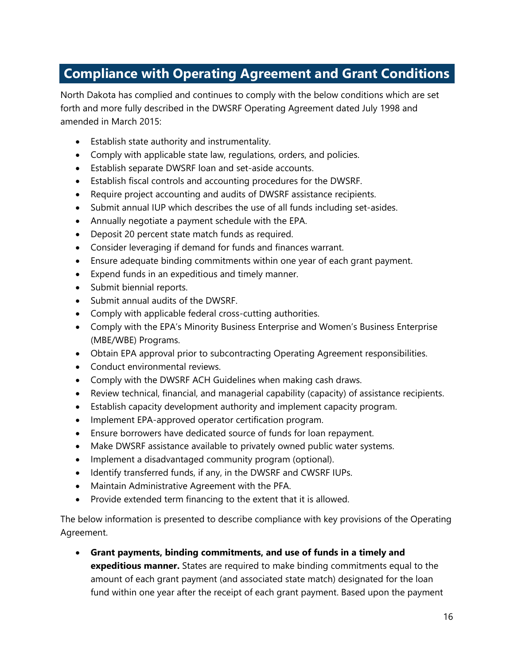### **Compliance with Operating Agreement and Grant Conditions**

North Dakota has complied and continues to comply with the below conditions which are set forth and more fully described in the DWSRF Operating Agreement dated July 1998 and amended in March 2015:

- Establish state authority and instrumentality.
- Comply with applicable state law, regulations, orders, and policies.
- Establish separate DWSRF loan and set-aside accounts.
- Establish fiscal controls and accounting procedures for the DWSRF.
- Require project accounting and audits of DWSRF assistance recipients.
- Submit annual IUP which describes the use of all funds including set-asides.
- Annually negotiate a payment schedule with the EPA.
- Deposit 20 percent state match funds as required.
- Consider leveraging if demand for funds and finances warrant.
- Ensure adequate binding commitments within one year of each grant payment.
- Expend funds in an expeditious and timely manner.
- Submit biennial reports.
- Submit annual audits of the DWSRF.
- Comply with applicable federal cross-cutting authorities.
- Comply with the EPA's Minority Business Enterprise and Women's Business Enterprise (MBE/WBE) Programs.
- Obtain EPA approval prior to subcontracting Operating Agreement responsibilities.
- Conduct environmental reviews.
- Comply with the DWSRF ACH Guidelines when making cash draws.
- Review technical, financial, and managerial capability (capacity) of assistance recipients.
- Establish capacity development authority and implement capacity program.
- Implement EPA-approved operator certification program.
- Ensure borrowers have dedicated source of funds for loan repayment.
- Make DWSRF assistance available to privately owned public water systems.
- Implement a disadvantaged community program (optional).
- Identify transferred funds, if any, in the DWSRF and CWSRF IUPs.
- Maintain Administrative Agreement with the PFA.
- Provide extended term financing to the extent that it is allowed.

The below information is presented to describe compliance with key provisions of the Operating Agreement.

 **Grant payments, binding commitments, and use of funds in a timely and expeditious manner.** States are required to make binding commitments equal to the amount of each grant payment (and associated state match) designated for the loan fund within one year after the receipt of each grant payment. Based upon the payment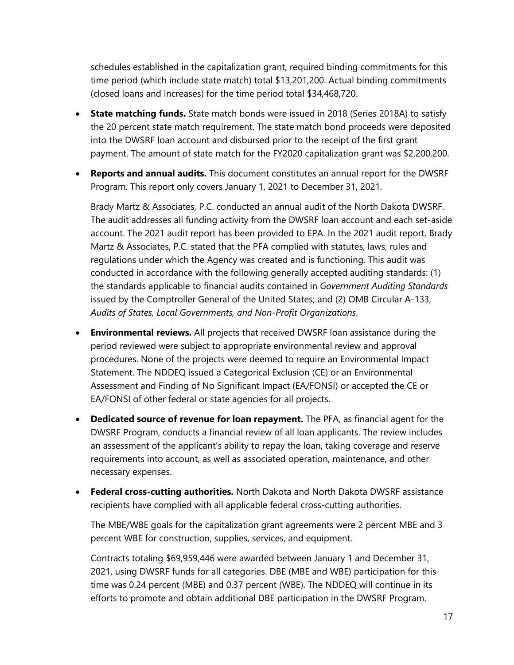schedules established in the capitalization grant, required binding commitments for this time period (which include state match) total \$13,201,200. Actual binding commitments (closed loans and increases) for the time period total \$34,468,720.

- **State matching funds.** State match bonds were issued in 2018 (Series 2018A) to satisfy the 20 percent state match requirement. The state match bond proceeds were deposited into the DWSRF loan account and disbursed prior to the receipt of the first grant payment. The amount of state match for the FY2020 capitalization grant was \$2,200,200.
- **Reports and annual audits.** This document constitutes an annual report for the DWSRF Program. This report only covers January 1, 2021 to December 31, 2021.

Brady Martz & Associates, P.C. conducted an annual audit of the North Dakota DWSRF. The audit addresses all funding activity from the DWSRF loan account and each set-aside account. The 2021 audit report has been provided to EPA. In the 2021 audit report, Brady Martz & Associates, P.C. stated that the PFA complied with statutes, laws, rules and regulations under which the Agency was created and is functioning. This audit was conducted in accordance with the following generally accepted auditing standards: (1) the standards applicable to financial audits contained in *Government Auditing Standards* issued by the Comptroller General of the United States; and (2) OMB Circular A-133, *Audits of States, Local Governments, and Non-Profit Organizations*.

- **Environmental reviews.** All projects that received DWSRF loan assistance during the period reviewed were subject to appropriate environmental review and approval procedures. None of the projects were deemed to require an Environmental Impact Statement. The NDDEQ issued a Categorical Exclusion (CE) or an Environmental Assessment and Finding of No Significant Impact (EA/FONSI) or accepted the CE or EA/FONSI of other federal or state agencies for all projects.
- **Dedicated source of revenue for loan repayment.** The PFA, as financial agent for the DWSRF Program, conducts a financial review of all loan applicants. The review includes an assessment of the applicant's ability to repay the loan, taking coverage and reserve requirements into account, as well as associated operation, maintenance, and other necessary expenses.
- **Federal cross-cutting authorities.** North Dakota and North Dakota DWSRF assistance recipients have complied with all applicable federal cross-cutting authorities.

The MBE/WBE goals for the capitalization grant agreements were 2 percent MBE and 3 percent WBE for construction, supplies, services, and equipment.

Contracts totaling \$69,959,446 were awarded between January 1 and December 31, 2021, using DWSRF funds for all categories. DBE (MBE and WBE) participation for this time was 0.24 percent (MBE) and 0.37 percent (WBE). The NDDEQ will continue in its efforts to promote and obtain additional DBE participation in the DWSRF Program.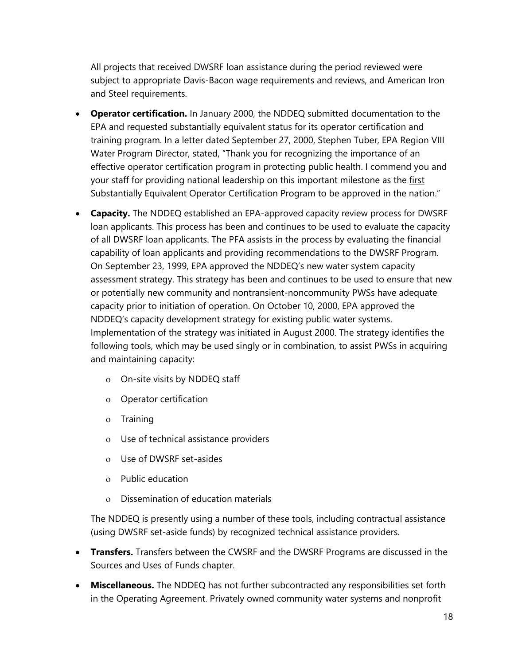All projects that received DWSRF loan assistance during the period reviewed were subject to appropriate Davis-Bacon wage requirements and reviews, and American Iron and Steel requirements.

- **Operator certification.** In January 2000, the NDDEQ submitted documentation to the EPA and requested substantially equivalent status for its operator certification and training program. In a letter dated September 27, 2000, Stephen Tuber, EPA Region VIII Water Program Director, stated, "Thank you for recognizing the importance of an effective operator certification program in protecting public health. I commend you and your staff for providing national leadership on this important milestone as the first Substantially Equivalent Operator Certification Program to be approved in the nation."
- **Capacity.** The NDDEQ established an EPA-approved capacity review process for DWSRF loan applicants. This process has been and continues to be used to evaluate the capacity of all DWSRF loan applicants. The PFA assists in the process by evaluating the financial capability of loan applicants and providing recommendations to the DWSRF Program. On September 23, 1999, EPA approved the NDDEQ's new water system capacity assessment strategy. This strategy has been and continues to be used to ensure that new or potentially new community and nontransient-noncommunity PWSs have adequate capacity prior to initiation of operation. On October 10, 2000, EPA approved the NDDEQ's capacity development strategy for existing public water systems. Implementation of the strategy was initiated in August 2000. The strategy identifies the following tools, which may be used singly or in combination, to assist PWSs in acquiring and maintaining capacity:
	- On-site visits by NDDEQ staff
	- Operator certification
	- o Training
	- Use of technical assistance providers
	- Use of DWSRF set-asides
	- Public education
	- Dissemination of education materials

The NDDEQ is presently using a number of these tools, including contractual assistance (using DWSRF set-aside funds) by recognized technical assistance providers.

- **Transfers.** Transfers between the CWSRF and the DWSRF Programs are discussed in the Sources and Uses of Funds chapter.
- **Miscellaneous.** The NDDEQ has not further subcontracted any responsibilities set forth in the Operating Agreement. Privately owned community water systems and nonprofit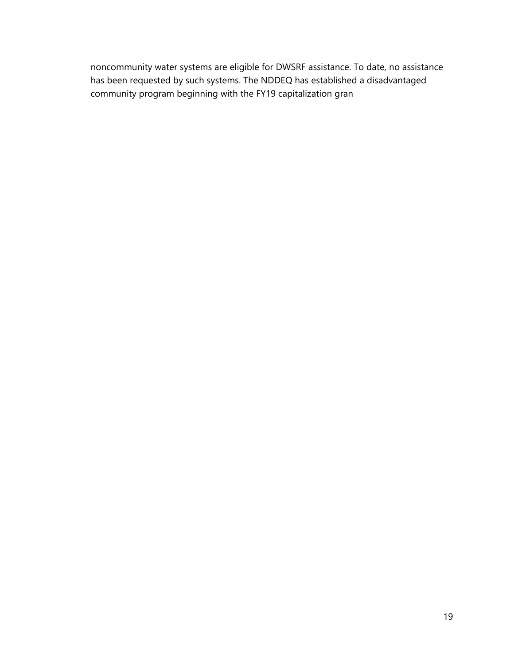noncommunity water systems are eligible for DWSRF assistance. To date, no assistance has been requested by such systems. The NDDEQ has established a disadvantaged community program beginning with the FY19 capitalization gran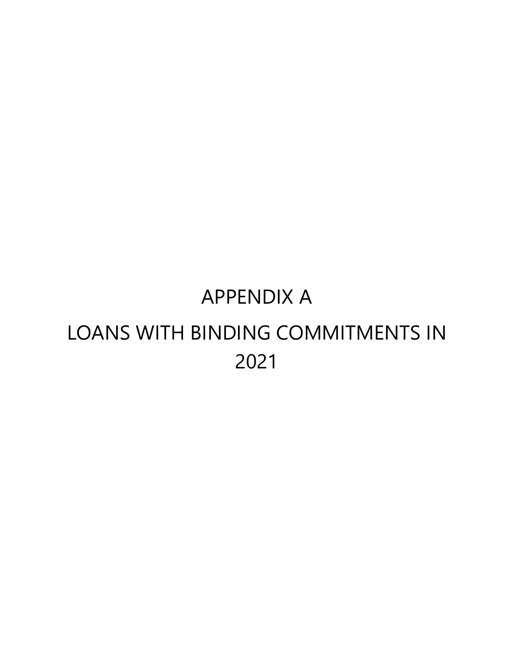# APPENDIX A LOANS WITH BINDING COMMITMENTS IN 2021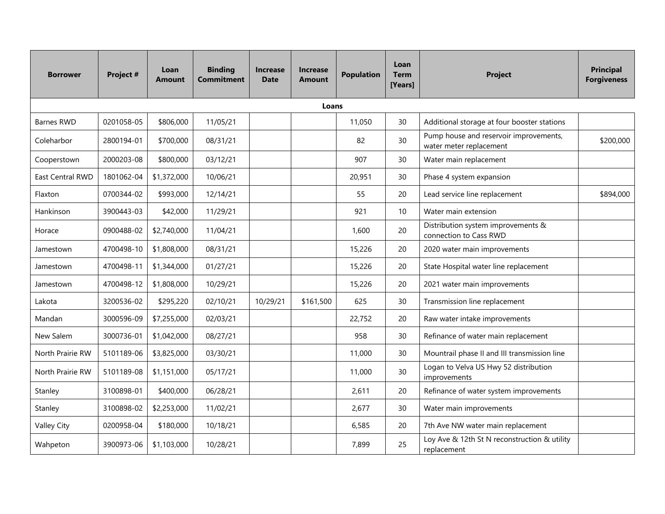| <b>Borrower</b>    | Project #  | Loan<br>Amount | <b>Binding</b><br><b>Commitment</b> | <b>Increase</b><br><b>Date</b> | <b>Increase</b><br><b>Amount</b> | <b>Population</b> | Loan<br><b>Term</b><br>[Years] | <b>Project</b>                                                    | <b>Principal</b><br><b>Forgiveness</b> |
|--------------------|------------|----------------|-------------------------------------|--------------------------------|----------------------------------|-------------------|--------------------------------|-------------------------------------------------------------------|----------------------------------------|
|                    |            |                |                                     |                                | Loans                            |                   |                                |                                                                   |                                        |
| <b>Barnes RWD</b>  | 0201058-05 | \$806,000      | 11/05/21                            |                                |                                  | 11,050            | 30                             | Additional storage at four booster stations                       |                                        |
| Coleharbor         | 2800194-01 | \$700,000      | 08/31/21                            |                                |                                  | 82                | 30                             | Pump house and reservoir improvements,<br>water meter replacement | \$200,000                              |
| Cooperstown        | 2000203-08 | \$800,000      | 03/12/21                            |                                |                                  | 907               | 30                             | Water main replacement                                            |                                        |
| East Central RWD   | 1801062-04 | \$1,372,000    | 10/06/21                            |                                |                                  | 20,951            | 30                             | Phase 4 system expansion                                          |                                        |
| Flaxton            | 0700344-02 | \$993,000      | 12/14/21                            |                                |                                  | 55                | 20                             | Lead service line replacement                                     | \$894,000                              |
| Hankinson          | 3900443-03 | \$42,000       | 11/29/21                            |                                |                                  | 921               | 10                             | Water main extension                                              |                                        |
| Horace             | 0900488-02 | \$2,740,000    | 11/04/21                            |                                |                                  | 1,600             | 20                             | Distribution system improvements &<br>connection to Cass RWD      |                                        |
| Jamestown          | 4700498-10 | \$1,808,000    | 08/31/21                            |                                |                                  | 15,226            | 20                             | 2020 water main improvements                                      |                                        |
| Jamestown          | 4700498-11 | \$1,344,000    | 01/27/21                            |                                |                                  | 15,226            | 20                             | State Hospital water line replacement                             |                                        |
| Jamestown          | 4700498-12 | \$1,808,000    | 10/29/21                            |                                |                                  | 15,226            | 20                             | 2021 water main improvements                                      |                                        |
| Lakota             | 3200536-02 | \$295,220      | 02/10/21                            | 10/29/21                       | \$161,500                        | 625               | 30                             | Transmission line replacement                                     |                                        |
| Mandan             | 3000596-09 | \$7,255,000    | 02/03/21                            |                                |                                  | 22,752            | 20                             | Raw water intake improvements                                     |                                        |
| New Salem          | 3000736-01 | \$1,042,000    | 08/27/21                            |                                |                                  | 958               | 30                             | Refinance of water main replacement                               |                                        |
| North Prairie RW   | 5101189-06 | \$3,825,000    | 03/30/21                            |                                |                                  | 11,000            | 30                             | Mountrail phase II and III transmission line                      |                                        |
| North Prairie RW   | 5101189-08 | \$1,151,000    | 05/17/21                            |                                |                                  | 11,000            | 30                             | Logan to Velva US Hwy 52 distribution<br>improvements             |                                        |
| Stanley            | 3100898-01 | \$400,000      | 06/28/21                            |                                |                                  | 2,611             | 20                             | Refinance of water system improvements                            |                                        |
| Stanley            | 3100898-02 | \$2,253,000    | 11/02/21                            |                                |                                  | 2,677             | 30                             | Water main improvements                                           |                                        |
| <b>Valley City</b> | 0200958-04 | \$180,000      | 10/18/21                            |                                |                                  | 6,585             | 20                             | 7th Ave NW water main replacement                                 |                                        |
| Wahpeton           | 3900973-06 | \$1,103,000    | 10/28/21                            |                                |                                  | 7,899             | 25                             | Loy Ave & 12th St N reconstruction & utility<br>replacement       |                                        |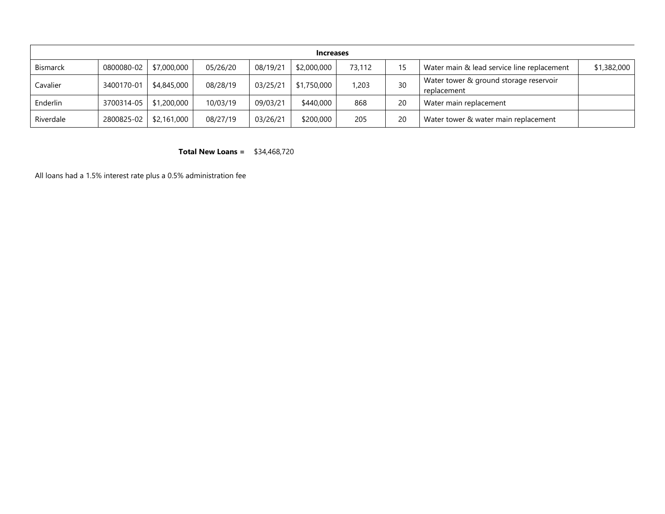| <b>Increases</b> |                          |             |          |          |             |        |    |                                                       |             |
|------------------|--------------------------|-------------|----------|----------|-------------|--------|----|-------------------------------------------------------|-------------|
| <b>Bismarck</b>  | 0800080-02               | \$7,000,000 | 05/26/20 | 08/19/21 | \$2,000,000 | 73,112 | 15 | Water main & lead service line replacement            | \$1,382,000 |
| Cavalier         | 3400170-01               | \$4,845,000 | 08/28/19 | 03/25/21 | \$1,750,000 | .203   | 30 | Water tower & ground storage reservoir<br>replacement |             |
| Enderlin         | 3700314-05   \$1,200,000 |             | 10/03/19 | 09/03/21 | \$440,000   | 868    | 20 | Water main replacement                                |             |
| Riverdale        | 2800825-02               | \$2,161,000 | 08/27/19 | 03/26/21 | \$200,000   | 205    | 20 | Water tower & water main replacement                  |             |

**Total New Loans =** \$34,468,720

All loans had a 1.5% interest rate plus a 0.5% administration fee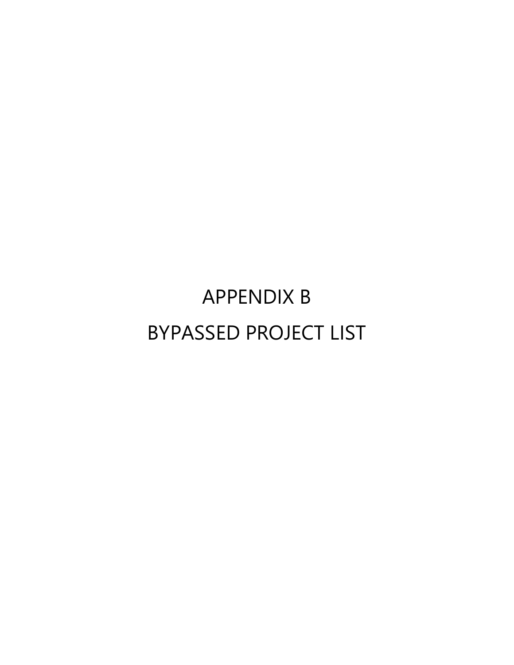# APPENDIX B BYPASSED PROJECT LIST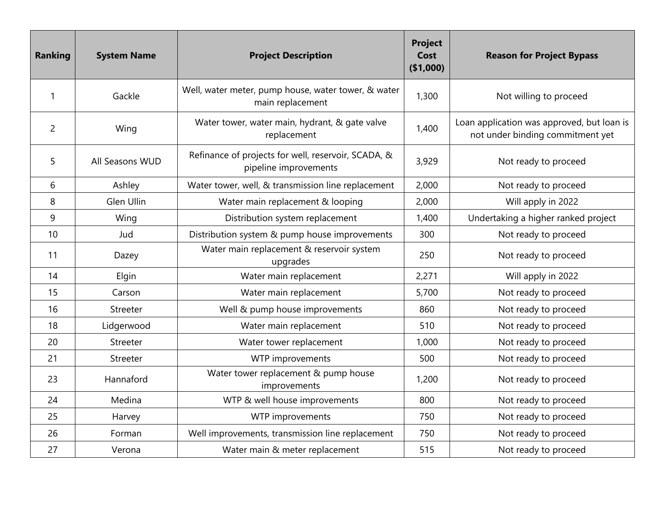| <b>Ranking</b> | <b>System Name</b> | <b>Project Description</b>                                                   | <b>Project</b><br>Cost<br>( \$1,000) | <b>Reason for Project Bypass</b>                                               |
|----------------|--------------------|------------------------------------------------------------------------------|--------------------------------------|--------------------------------------------------------------------------------|
| 1              | Gackle             | Well, water meter, pump house, water tower, & water<br>main replacement      | 1,300                                | Not willing to proceed                                                         |
| $\overline{2}$ | Wing               | Water tower, water main, hydrant, & gate valve<br>replacement                | 1,400                                | Loan application was approved, but loan is<br>not under binding commitment yet |
| 5              | All Seasons WUD    | Refinance of projects for well, reservoir, SCADA, &<br>pipeline improvements | 3,929                                | Not ready to proceed                                                           |
| 6              | Ashley             | Water tower, well, & transmission line replacement                           | 2,000                                | Not ready to proceed                                                           |
| 8              | Glen Ullin         | Water main replacement & looping                                             | 2,000                                | Will apply in 2022                                                             |
| 9              | Wing               | Distribution system replacement                                              | 1,400                                | Undertaking a higher ranked project                                            |
| 10             | Jud                | Distribution system & pump house improvements                                | 300                                  | Not ready to proceed                                                           |
| 11             | Dazey              | Water main replacement & reservoir system<br>upgrades                        | 250                                  | Not ready to proceed                                                           |
| 14             | Elgin              | Water main replacement                                                       | 2,271                                | Will apply in 2022                                                             |
| 15             | Carson             | Water main replacement                                                       | 5,700                                | Not ready to proceed                                                           |
| 16             | Streeter           | Well & pump house improvements                                               | 860                                  | Not ready to proceed                                                           |
| 18             | Lidgerwood         | Water main replacement                                                       | 510                                  | Not ready to proceed                                                           |
| 20             | Streeter           | Water tower replacement                                                      | 1,000                                | Not ready to proceed                                                           |
| 21             | Streeter           | WTP improvements                                                             | 500                                  | Not ready to proceed                                                           |
| 23             | Hannaford          | Water tower replacement & pump house<br>improvements                         | 1,200                                | Not ready to proceed                                                           |
| 24             | Medina             | WTP & well house improvements                                                | 800                                  | Not ready to proceed                                                           |
| 25             | Harvey             | WTP improvements                                                             | 750                                  | Not ready to proceed                                                           |
| 26             | Forman             | Well improvements, transmission line replacement                             | 750                                  | Not ready to proceed                                                           |
| 27             | Verona             | Water main & meter replacement                                               | 515                                  | Not ready to proceed                                                           |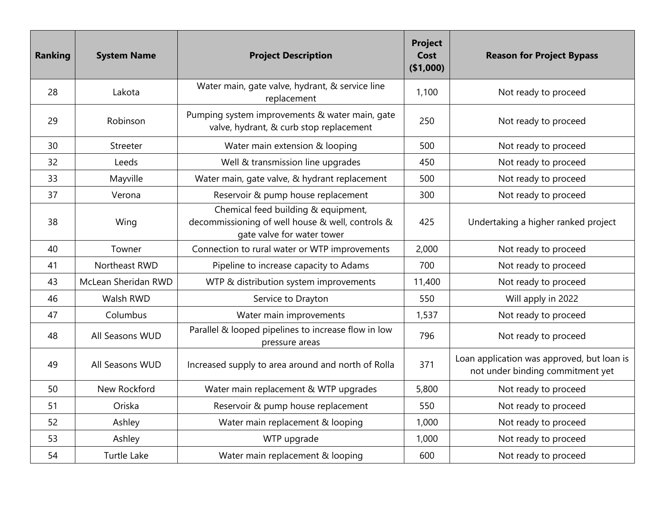| <b>Ranking</b> | <b>System Name</b>  | <b>Project Description</b>                                                                                            | <b>Project</b><br>Cost<br>(\$1,000) | <b>Reason for Project Bypass</b>                                               |
|----------------|---------------------|-----------------------------------------------------------------------------------------------------------------------|-------------------------------------|--------------------------------------------------------------------------------|
| 28             | Lakota              | Water main, gate valve, hydrant, & service line<br>replacement                                                        | 1,100                               | Not ready to proceed                                                           |
| 29             | Robinson            | Pumping system improvements & water main, gate<br>valve, hydrant, & curb stop replacement                             | 250                                 | Not ready to proceed                                                           |
| 30             | Streeter            | Water main extension & looping                                                                                        | 500                                 | Not ready to proceed                                                           |
| 32             | Leeds               | Well & transmission line upgrades                                                                                     | 450                                 | Not ready to proceed                                                           |
| 33             | Mayville            | Water main, gate valve, & hydrant replacement                                                                         | 500                                 | Not ready to proceed                                                           |
| 37             | Verona              | Reservoir & pump house replacement                                                                                    | 300                                 | Not ready to proceed                                                           |
| 38             | Wing                | Chemical feed building & equipment,<br>decommissioning of well house & well, controls &<br>gate valve for water tower | 425                                 | Undertaking a higher ranked project                                            |
| 40             | Towner              | Connection to rural water or WTP improvements                                                                         | 2,000                               | Not ready to proceed                                                           |
| 41             | Northeast RWD       | Pipeline to increase capacity to Adams                                                                                | 700                                 | Not ready to proceed                                                           |
| 43             | McLean Sheridan RWD | WTP & distribution system improvements                                                                                | 11,400                              | Not ready to proceed                                                           |
| 46             | Walsh RWD           | Service to Drayton                                                                                                    | 550                                 | Will apply in 2022                                                             |
| 47             | Columbus            | Water main improvements                                                                                               | 1,537                               | Not ready to proceed                                                           |
| 48             | All Seasons WUD     | Parallel & looped pipelines to increase flow in low<br>pressure areas                                                 | 796                                 | Not ready to proceed                                                           |
| 49             | All Seasons WUD     | Increased supply to area around and north of Rolla                                                                    | 371                                 | Loan application was approved, but loan is<br>not under binding commitment yet |
| 50             | New Rockford        | Water main replacement & WTP upgrades                                                                                 | 5,800                               | Not ready to proceed                                                           |
| 51             | Oriska              | Reservoir & pump house replacement                                                                                    | 550                                 | Not ready to proceed                                                           |
| 52             | Ashley              | Water main replacement & looping                                                                                      | 1,000                               | Not ready to proceed                                                           |
| 53             | Ashley              | WTP upgrade                                                                                                           | 1,000                               | Not ready to proceed                                                           |
| 54             | <b>Turtle Lake</b>  | Water main replacement & looping                                                                                      | 600                                 | Not ready to proceed                                                           |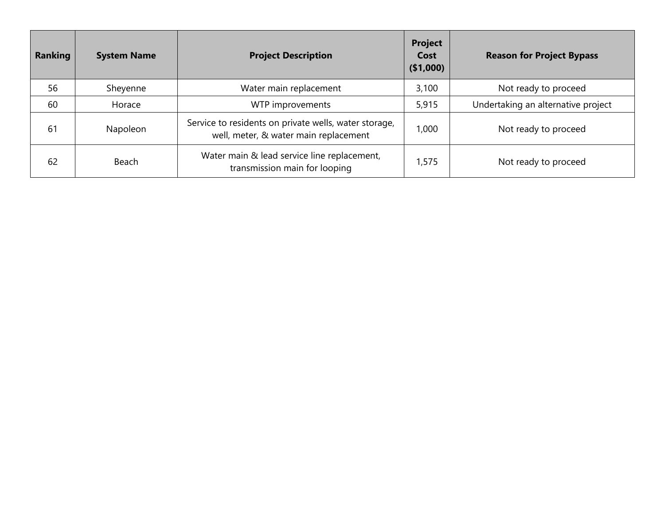| <b>Ranking</b> | <b>System Name</b> | <b>Project Description</b>                                                                     | <b>Project</b><br>Cost<br>(\$1,000) | <b>Reason for Project Bypass</b>   |
|----------------|--------------------|------------------------------------------------------------------------------------------------|-------------------------------------|------------------------------------|
| 56             | Sheyenne           | Water main replacement                                                                         | 3,100                               | Not ready to proceed               |
| 60             | Horace             | WTP improvements                                                                               | 5,915                               | Undertaking an alternative project |
| 61             | Napoleon           | Service to residents on private wells, water storage,<br>well, meter, & water main replacement | 1,000                               | Not ready to proceed               |
| 62             | Beach              | Water main & lead service line replacement,<br>transmission main for looping                   | 1,575                               | Not ready to proceed               |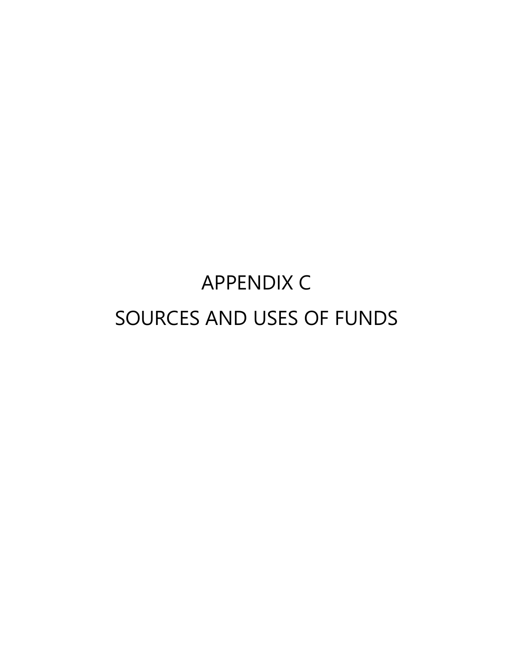# APPENDIX C SOURCES AND USES OF FUNDS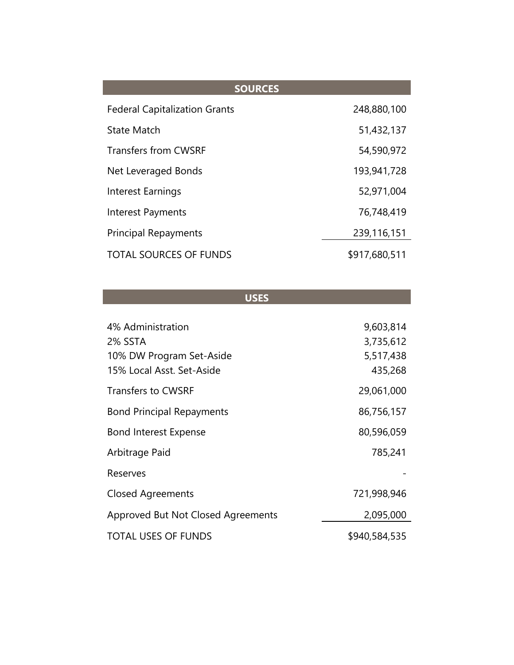| <b>SOURCES</b>                       |               |
|--------------------------------------|---------------|
| <b>Federal Capitalization Grants</b> | 248,880,100   |
| <b>State Match</b>                   | 51,432,137    |
| <b>Transfers from CWSRF</b>          | 54,590,972    |
| Net Leveraged Bonds                  | 193,941,728   |
| Interest Earnings                    | 52,971,004    |
| Interest Payments                    | 76,748,419    |
| <b>Principal Repayments</b>          | 239,116,151   |
| <b>TOTAL SOURCES OF FUNDS</b>        | \$917,680,511 |

| a mar<br>⊓ |  |
|------------|--|
|            |  |

l.

| 4% Administration<br>2% SSTA       | 9,603,814<br>3,735,612 |
|------------------------------------|------------------------|
| 10% DW Program Set-Aside           | 5,517,438              |
| 15% Local Asst. Set-Aside          | 435,268                |
| <b>Transfers to CWSRF</b>          | 29,061,000             |
| <b>Bond Principal Repayments</b>   | 86,756,157             |
| <b>Bond Interest Expense</b>       | 80,596,059             |
| Arbitrage Paid                     | 785,241                |
| Reserves                           |                        |
| <b>Closed Agreements</b>           | 721,998,946            |
| Approved But Not Closed Agreements | 2,095,000              |
| <b>TOTAL USES OF FUNDS</b>         | \$940,584,535          |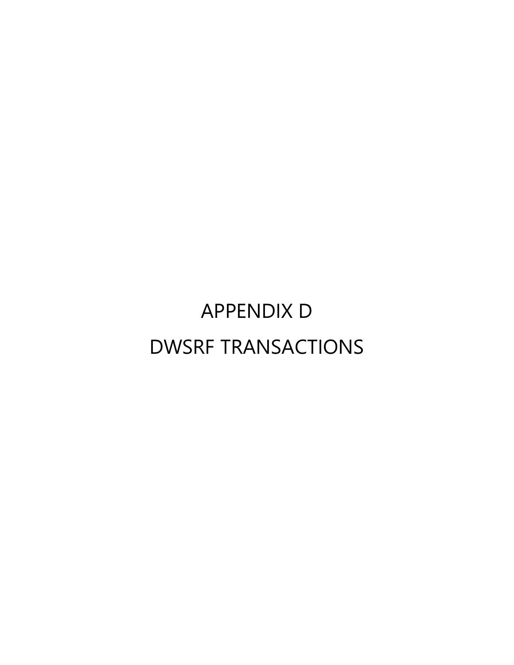# APPENDIX D DWSRF TRANSACTIONS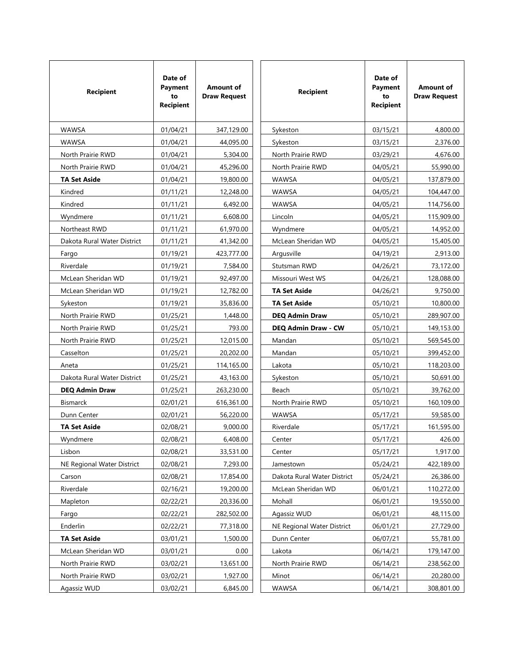| <b>Recipient</b>            | Date of<br>Payment<br>to<br><b>Recipient</b> | <b>Amount of</b><br><b>Draw Request</b> | <b>Recipient</b>            | Date of<br>Payment<br>to<br><b>Recipient</b> | <b>Amount of</b><br><b>Draw Request</b> |
|-----------------------------|----------------------------------------------|-----------------------------------------|-----------------------------|----------------------------------------------|-----------------------------------------|
| <b>WAWSA</b>                | 01/04/21                                     | 347,129.00                              | Sykeston                    | 03/15/21                                     | 4,800.00                                |
| <b>WAWSA</b>                | 01/04/21                                     | 44,095.00                               | Sykeston                    | 03/15/21                                     | 2,376.00                                |
| North Prairie RWD           | 01/04/21                                     | 5,304.00                                | North Prairie RWD           | 03/29/21                                     | 4,676.00                                |
| North Prairie RWD           | 01/04/21                                     | 45,296.00                               | North Prairie RWD           | 04/05/21                                     | 55,990.00                               |
| <b>TA Set Aside</b>         | 01/04/21                                     | 19,800.00                               | WAWSA                       | 04/05/21                                     | 137,879.00                              |
| Kindred                     | 01/11/21                                     | 12,248.00                               | <b>WAWSA</b>                | 04/05/21                                     | 104,447.00                              |
| Kindred                     | 01/11/21                                     | 6,492.00                                | <b>WAWSA</b>                | 04/05/21                                     | 114,756.00                              |
| Wyndmere                    | 01/11/21                                     | 6,608.00                                | Lincoln                     | 04/05/21                                     | 115,909.00                              |
| Northeast RWD               | 01/11/21                                     | 61,970.00                               | Wyndmere                    | 04/05/21                                     | 14,952.00                               |
| Dakota Rural Water District | 01/11/21                                     | 41,342.00                               | McLean Sheridan WD          | 04/05/21                                     | 15,405.00                               |
| Fargo                       | 01/19/21                                     | 423,777.00                              | Argusville                  | 04/19/21                                     | 2,913.00                                |
| Riverdale                   | 01/19/21                                     | 7,584.00                                | Stutsman RWD                | 04/26/21                                     | 73,172.00                               |
| McLean Sheridan WD          | 01/19/21                                     | 92,497.00                               | Missouri West WS            | 04/26/21                                     | 128,088.00                              |
| McLean Sheridan WD          | 01/19/21                                     | 12,782.00                               | <b>TA Set Aside</b>         | 04/26/21                                     | 9,750.00                                |
| Sykeston                    | 01/19/21                                     | 35,836.00                               | <b>TA Set Aside</b>         | 05/10/21                                     | 10,800.00                               |
| North Prairie RWD           | 01/25/21                                     | 1,448.00                                | <b>DEQ Admin Draw</b>       | 05/10/21                                     | 289,907.00                              |
| North Prairie RWD           | 01/25/21                                     | 793.00                                  | <b>DEQ Admin Draw - CW</b>  | 05/10/21                                     | 149,153.00                              |
| North Prairie RWD           | 01/25/21                                     | 12,015.00                               | Mandan                      | 05/10/21                                     | 569,545.00                              |
| Casselton                   | 01/25/21                                     | 20,202.00                               | Mandan                      | 05/10/21                                     | 399,452.00                              |
| Aneta                       | 01/25/21                                     | 114,165.00                              | Lakota                      | 05/10/21                                     | 118,203.00                              |
| Dakota Rural Water District | 01/25/21                                     | 43,163.00                               | Sykeston                    | 05/10/21                                     | 50,691.00                               |
| <b>DEQ Admin Draw</b>       | 01/25/21                                     | 263,230.00                              | Beach                       | 05/10/21                                     | 39,762.00                               |
| <b>Bismarck</b>             | 02/01/21                                     | 616,361.00                              | North Prairie RWD           | 05/10/21                                     | 160,109.00                              |
| Dunn Center                 | 02/01/21                                     | 56,220.00                               | <b>WAWSA</b>                | 05/17/21                                     | 59,585.00                               |
| <b>TA Set Aside</b>         | 02/08/21                                     | 9,000.00                                | Riverdale                   | 05/17/21                                     | 161,595.00                              |
| Wyndmere                    | 02/08/21                                     | 6,408.00                                | Center                      | 05/17/21                                     | 426.00                                  |
| Lisbon                      | 02/08/21                                     | 33,531.00                               | Center                      | 05/17/21                                     | 1,917.00                                |
| NE Regional Water District  | 02/08/21                                     | 7,293.00                                | Jamestown                   | 05/24/21                                     | 422,189.00                              |
| Carson                      | 02/08/21                                     | 17,854.00                               | Dakota Rural Water District | 05/24/21                                     | 26,386.00                               |
| Riverdale                   | 02/16/21                                     | 19,200.00                               | McLean Sheridan WD          | 06/01/21                                     | 110,272.00                              |
| Mapleton                    | 02/22/21                                     | 20,336.00                               | Mohall                      | 06/01/21                                     | 19,550.00                               |
| Fargo                       | 02/22/21                                     | 282,502.00                              | Agassiz WUD                 | 06/01/21                                     | 48,115.00                               |
| Enderlin                    | 02/22/21                                     | 77,318.00                               | NE Regional Water District  | 06/01/21                                     | 27,729.00                               |
| <b>TA Set Aside</b>         | 03/01/21                                     | 1,500.00                                | Dunn Center                 | 06/07/21                                     | 55,781.00                               |
| McLean Sheridan WD          | 03/01/21                                     | 0.00                                    | Lakota                      | 06/14/21                                     | 179,147.00                              |
| North Prairie RWD           | 03/02/21                                     | 13,651.00                               | North Prairie RWD           | 06/14/21                                     | 238,562.00                              |
| North Prairie RWD           | 03/02/21                                     | 1,927.00                                | Minot                       | 06/14/21                                     | 20,280.00                               |
| Agassiz WUD                 | 03/02/21                                     | 6,845.00                                | WAWSA                       | 06/14/21                                     | 308,801.00                              |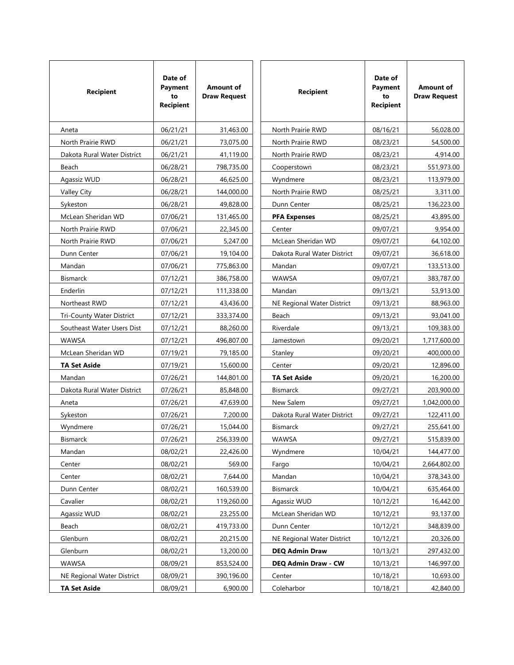| <b>Recipient</b>            | Date of<br>Payment<br>to<br><b>Recipient</b> | <b>Amount of</b><br><b>Draw Request</b> | <b>Recipient</b>            | Date of<br>Payment<br>to<br>Recipient | <b>Amount of</b><br><b>Draw Request</b> |
|-----------------------------|----------------------------------------------|-----------------------------------------|-----------------------------|---------------------------------------|-----------------------------------------|
| Aneta                       | 06/21/21                                     | 31,463.00                               | North Prairie RWD           | 08/16/21                              | 56,028.00                               |
| North Prairie RWD           | 06/21/21                                     | 73,075.00                               | North Prairie RWD           | 08/23/21                              | 54,500.00                               |
| Dakota Rural Water District | 06/21/21                                     | 41,119.00                               | North Prairie RWD           | 08/23/21                              | 4,914.00                                |
| Beach                       | 06/28/21                                     | 798,735.00                              | Cooperstown                 | 08/23/21                              | 551,973.00                              |
| Agassiz WUD                 | 06/28/21                                     | 46,625.00                               | Wyndmere                    | 08/23/21                              | 113,979.00                              |
| Valley City                 | 06/28/21                                     | 144,000.00                              | North Prairie RWD           | 08/25/21                              | 3,311.00                                |
| Sykeston                    | 06/28/21                                     | 49,828.00                               | Dunn Center                 | 08/25/21                              | 136,223.00                              |
| McLean Sheridan WD          | 07/06/21                                     | 131,465.00                              | <b>PFA Expenses</b>         | 08/25/21                              | 43,895.00                               |
| North Prairie RWD           | 07/06/21                                     | 22,345.00                               | Center                      | 09/07/21                              | 9.954.00                                |
| North Prairie RWD           | 07/06/21                                     | 5,247.00                                | McLean Sheridan WD          | 09/07/21                              | 64,102.00                               |
| Dunn Center                 | 07/06/21                                     | 19,104.00                               | Dakota Rural Water District | 09/07/21                              | 36,618.00                               |
| Mandan                      | 07/06/21                                     | 775,863.00                              | Mandan                      | 09/07/21                              | 133,513.00                              |
| <b>Bismarck</b>             | 07/12/21                                     | 386,758.00                              | <b>WAWSA</b>                | 09/07/21                              | 383,787.00                              |
| Enderlin                    | 07/12/21                                     | 111,338.00                              | Mandan                      | 09/13/21                              | 53,913.00                               |
| Northeast RWD               | 07/12/21                                     | 43,436.00                               | NE Regional Water District  | 09/13/21                              | 88,963.00                               |
| Tri-County Water District   | 07/12/21                                     | 333,374.00                              | Beach                       | 09/13/21                              | 93,041.00                               |
| Southeast Water Users Dist  | 07/12/21                                     | 88,260.00                               | Riverdale                   | 09/13/21                              | 109,383.00                              |
| <b>WAWSA</b>                | 07/12/21                                     | 496,807.00                              | Jamestown                   | 09/20/21                              | 1,717,600.00                            |
| McLean Sheridan WD          | 07/19/21                                     | 79,185.00                               | Stanley                     | 09/20/21                              | 400,000.00                              |
| <b>TA Set Aside</b>         | 07/19/21                                     | 15,600.00                               | Center                      | 09/20/21                              | 12,896.00                               |
| Mandan                      | 07/26/21                                     | 144,801.00                              | <b>TA Set Aside</b>         | 09/20/21                              | 16,200.00                               |
| Dakota Rural Water District | 07/26/21                                     | 85,848.00                               | <b>Bismarck</b>             | 09/27/21                              | 203,900.00                              |
| Aneta                       | 07/26/21                                     | 47,639.00                               | New Salem                   | 09/27/21                              | 1,042,000.00                            |
| Sykeston                    | 07/26/21                                     | 7,200.00                                | Dakota Rural Water District | 09/27/21                              | 122,411.00                              |
| Wyndmere                    | 07/26/21                                     | 15,044.00                               | <b>Bismarck</b>             | 09/27/21                              | 255,641.00                              |
| <b>Bismarck</b>             | 07/26/21                                     | 256,339.00                              | <b>WAWSA</b>                | 09/27/21                              | 515,839.00                              |
| Mandan                      | 08/02/21                                     | 22,426.00                               | Wyndmere                    | 10/04/21                              | 144,477.00                              |
| Center                      | 08/02/21                                     | 569.00                                  | Fargo                       | 10/04/21                              | 2,664,802.00                            |
| Center                      | 08/02/21                                     | 7,644.00                                | Mandan                      | 10/04/21                              | 378,343.00                              |
| Dunn Center                 | 08/02/21                                     | 160,539.00                              | Bismarck                    | 10/04/21                              | 635,464.00                              |
| Cavalier                    | 08/02/21                                     | 119,260.00                              | Agassiz WUD                 | 10/12/21                              | 16,442.00                               |
| Agassiz WUD                 | 08/02/21                                     | 23,255.00                               | McLean Sheridan WD          | 10/12/21                              | 93,137.00                               |
| Beach                       | 08/02/21                                     | 419,733.00                              | Dunn Center                 | 10/12/21                              | 348,839.00                              |
| Glenburn                    | 08/02/21                                     | 20,215.00                               | NE Regional Water District  | 10/12/21                              | 20,326.00                               |
| Glenburn                    | 08/02/21                                     | 13,200.00                               | <b>DEQ Admin Draw</b>       | 10/13/21                              | 297,432.00                              |
| WAWSA                       | 08/09/21                                     | 853,524.00                              | <b>DEQ Admin Draw - CW</b>  | 10/13/21                              | 146,997.00                              |
| NE Regional Water District  | 08/09/21                                     | 390,196.00                              | Center                      | 10/18/21                              | 10,693.00                               |
| <b>TA Set Aside</b>         | 08/09/21                                     | 6,900.00                                | Coleharbor                  | 10/18/21                              | 42,840.00                               |